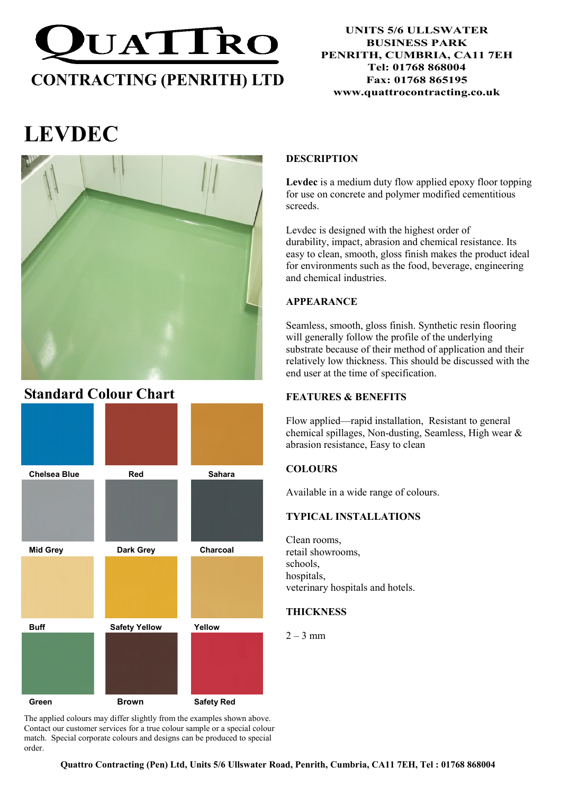

### UNITS 5/6 ULLSWATER BUSINESS PARK PENRITH, CUMBRIA, CA11 7EH Tel: 01768 868004 Fax: 01768 865195 www.quattrocontracting.co.uk

# LEVDEC



# Standard Colour Chart



The applied colours may differ slightly from the examples shown above. Contact our customer services for a true colour sample or a special colour match. Special corporate colours and designs can be produced to special order.

# DESCRIPTION

Levdec is a medium duty flow applied epoxy floor topping for use on concrete and polymer modified cementitious screeds.

Levdec is designed with the highest order of durability, impact, abrasion and chemical resistance. Its easy to clean, smooth, gloss finish makes the product ideal for environments such as the food, beverage, engineering and chemical industries.

# APPEARANCE

Seamless, smooth, gloss finish. Synthetic resin flooring will generally follow the profile of the underlying substrate because of their method of application and their relatively low thickness. This should be discussed with the end user at the time of specification.

# FEATURES & BENEFITS

Flow applied—rapid installation, Resistant to general chemical spillages, Non-dusting, Seamless, High wear & abrasion resistance, Easy to clean

# **COLOURS**

Available in a wide range of colours.

# TYPICAL INSTALLATIONS

Clean rooms, retail showrooms, schools, hospitals, veterinary hospitals and hotels.

# **THICKNESS**

 $2 - 3$  mm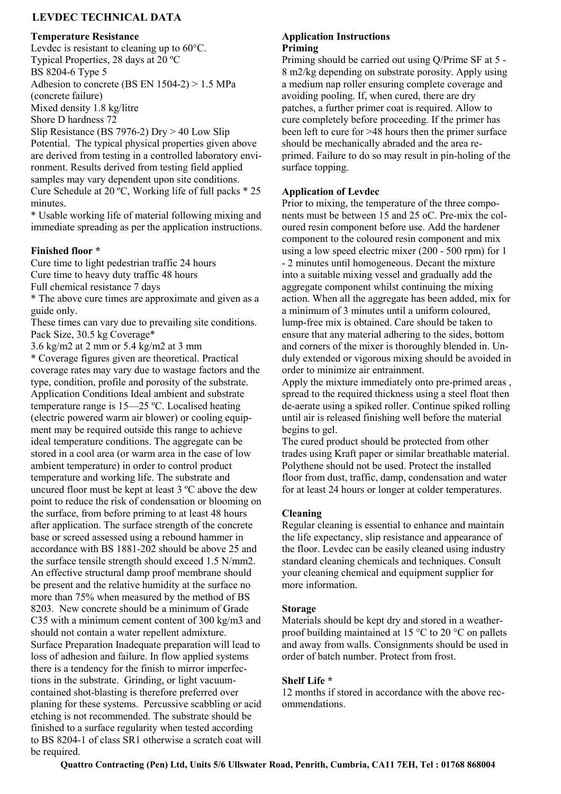# LEVDEC TECHNICAL DATA

#### Temperature Resistance

Levdec is resistant to cleaning up to 60°C. Typical Properties, 28 days at 20 ºC BS 8204-6 Type 5 Adhesion to concrete (BS EN 1504-2) > 1.5 MPa (concrete failure) Mixed density 1.8 kg/litre Shore D hardness 72

Slip Resistance (BS 7976-2) Dry > 40 Low Slip Potential. The typical physical properties given above are derived from testing in a controlled laboratory environment. Results derived from testing field applied samples may vary dependent upon site conditions. Cure Schedule at 20 ºC, Working life of full packs \* 25 minutes.

\* Usable working life of material following mixing and immediate spreading as per the application instructions.

#### Finished floor \*

Cure time to light pedestrian traffic 24 hours Cure time to heavy duty traffic 48 hours Full chemical resistance 7 days

\* The above cure times are approximate and given as a guide only.

These times can vary due to prevailing site conditions. Pack Size, 30.5 kg Coverage\*

3.6 kg/m2 at 2 mm or 5.4 kg/m2 at 3 mm \* Coverage figures given are theoretical. Practical coverage rates may vary due to wastage factors and the type, condition, profile and porosity of the substrate. Application Conditions Ideal ambient and substrate temperature range is 15—25 ºC. Localised heating (electric powered warm air blower) or cooling equipment may be required outside this range to achieve ideal temperature conditions. The aggregate can be stored in a cool area (or warm area in the case of low ambient temperature) in order to control product temperature and working life. The substrate and uncured floor must be kept at least 3 ºC above the dew point to reduce the risk of condensation or blooming on the surface, from before priming to at least 48 hours after application. The surface strength of the concrete base or screed assessed using a rebound hammer in accordance with BS 1881-202 should be above 25 and the surface tensile strength should exceed 1.5 N/mm2. An effective structural damp proof membrane should be present and the relative humidity at the surface no more than 75% when measured by the method of BS 8203. New concrete should be a minimum of Grade C35 with a minimum cement content of 300 kg/m3 and should not contain a water repellent admixture. Surface Preparation Inadequate preparation will lead to loss of adhesion and failure. In flow applied systems there is a tendency for the finish to mirror imperfections in the substrate. Grinding, or light vacuumcontained shot-blasting is therefore preferred over planing for these systems. Percussive scabbling or acid etching is not recommended. The substrate should be finished to a surface regularity when tested according to BS 8204-1 of class SR1 otherwise a scratch coat will be required.

#### Application Instructions Priming

Priming should be carried out using Q/Prime SF at 5 - 8 m2/kg depending on substrate porosity. Apply using a medium nap roller ensuring complete coverage and avoiding pooling. If, when cured, there are dry patches, a further primer coat is required. Allow to cure completely before proceeding. If the primer has been left to cure for >48 hours then the primer surface should be mechanically abraded and the area reprimed. Failure to do so may result in pin-holing of the surface topping.

#### Application of Levdec

Prior to mixing, the temperature of the three components must be between 15 and 25 oC. Pre-mix the coloured resin component before use. Add the hardener component to the coloured resin component and mix using a low speed electric mixer (200 - 500 rpm) for 1 - 2 minutes until homogeneous. Decant the mixture into a suitable mixing vessel and gradually add the aggregate component whilst continuing the mixing action. When all the aggregate has been added, mix for a minimum of 3 minutes until a uniform coloured, lump-free mix is obtained. Care should be taken to ensure that any material adhering to the sides, bottom and corners of the mixer is thoroughly blended in. Unduly extended or vigorous mixing should be avoided in order to minimize air entrainment.

Apply the mixture immediately onto pre-primed areas , spread to the required thickness using a steel float then de-aerate using a spiked roller. Continue spiked rolling until air is released finishing well before the material begins to gel.

The cured product should be protected from other trades using Kraft paper or similar breathable material. Polythene should not be used. Protect the installed floor from dust, traffic, damp, condensation and water for at least 24 hours or longer at colder temperatures.

#### Cleaning

Regular cleaning is essential to enhance and maintain the life expectancy, slip resistance and appearance of the floor. Levdec can be easily cleaned using industry standard cleaning chemicals and techniques. Consult your cleaning chemical and equipment supplier for more information.

#### Storage

Materials should be kept dry and stored in a weatherproof building maintained at 15  $\degree$ C to 20  $\degree$ C on pallets and away from walls. Consignments should be used in order of batch number. Protect from frost.

#### Shelf Life \*

12 months if stored in accordance with the above recommendations.